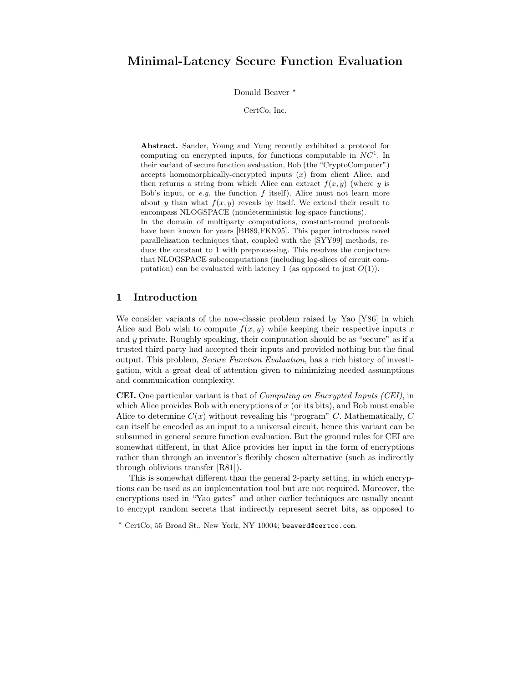# Minimal-Latency Secure Function Evaluation

Donald Beaver<sup>\*</sup>

CertCo, Inc.

Abstract. Sander, Young and Yung recently exhibited a protocol for computing on encrypted inputs, for functions computable in  $NC<sup>1</sup>$ . In their variant of secure function evaluation, Bob (the "CryptoComputer") accepts homomorphically-encrypted inputs  $(x)$  from client Alice, and then returns a string from which Alice can extract  $f(x, y)$  (where y is Bob's input, or  $e.g.$  the function f itself). Alice must not learn more about y than what  $f(x, y)$  reveals by itself. We extend their result to encompass NLOGSPACE (nondeterministic log-space functions). In the domain of multiparty computations, constant-round protocols have been known for years [BB89,FKN95]. This paper introduces novel parallelization techniques that, coupled with the [SYY99] methods, reduce the constant to 1 with preprocessing. This resolves the conjecture that NLOGSPACE subcomputations (including log-slices of circuit computation) can be evaluated with latency 1 (as opposed to just  $O(1)$ ).

## 1 Introduction

We consider variants of the now-classic problem raised by Yao [Y86] in which Alice and Bob wish to compute  $f(x, y)$  while keeping their respective inputs x and y private. Roughly speaking, their computation should be as "secure" as if a trusted third party had accepted their inputs and provided nothing but the final output. This problem, Secure Function Evaluation, has a rich history of investigation, with a great deal of attention given to minimizing needed assumptions and communication complexity.

CEI. One particular variant is that of Computing on Encrypted Inputs (CEI), in which Alice provides Bob with encryptions of  $x$  (or its bits), and Bob must enable Alice to determine  $C(x)$  without revealing his "program" C. Mathematically, C can itself be encoded as an input to a universal circuit, hence this variant can be subsumed in general secure function evaluation. But the ground rules for CEI are somewhat different, in that Alice provides her input in the form of encryptions rather than through an inventor's flexibly chosen alternative (such as indirectly through oblivious transfer [R81]).

This is somewhat different than the general 2-party setting, in which encryptions can be used as an implementation tool but are not required. Moreover, the encryptions used in "Yao gates" and other earlier techniques are usually meant to encrypt random secrets that indirectly represent secret bits, as opposed to

<sup>?</sup> CertCo, 55 Broad St., New York, NY 10004; beaverd@certco.com.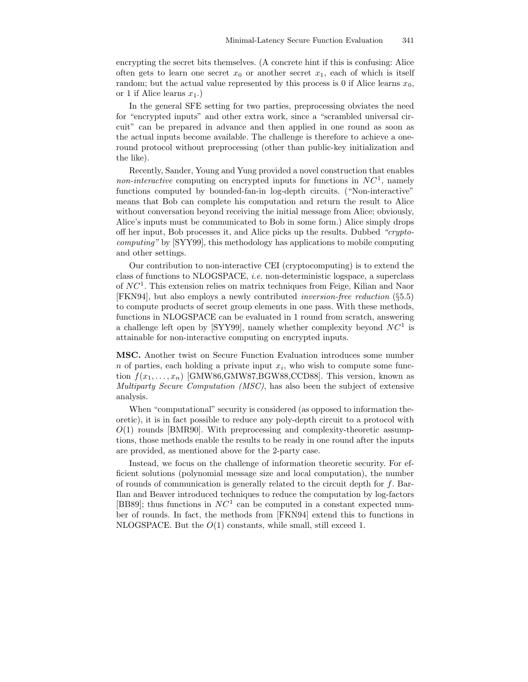encrypting the secret bits themselves. (A concrete hint if this is confusing: Alice often gets to learn one secret  $x_0$  or another secret  $x_1$ , each of which is itself random; but the actual value represented by this process is 0 if Alice learns  $x_0$ , or 1 if Alice learns  $x_1$ .)

In the general SFE setting for two parties, preprocessing obviates the need for "encrypted inputs" and other extra work, since a "scrambled universal circuit" can be prepared in advance and then applied in one round as soon as the actual inputs become available. The challenge is therefore to achieve a oneround protocol without preprocessing (other than public-key initialization and the like).

Recently, Sander, Young and Yung provided a novel construction that enables *non-interactive* computing on encrypted inputs for functions in  $NC<sup>1</sup>$ , namely functions computed by bounded-fan-in log-depth circuits. ("Non-interactive" means that Bob can complete his computation and return the result to Alice without conversation beyond receiving the initial message from Alice; obviously, Alice's inputs must be communicated to Bob in some form.) Alice simply drops off her input, Bob processes it, and Alice picks up the results. Dubbed "cryptocomputing" by [SYY99], this methodology has applications to mobile computing and other settings.

Our contribution to non-interactive CEI (cryptocomputing) is to extend the class of functions to NLOGSPACE, *i.e.* non-deterministic logspace, a superclass of  $NC<sup>1</sup>$ . This extension relies on matrix techniques from Feige, Kilian and Naor [FKN94], but also employs a newly contributed inversion-free reduction (§5.5) to compute products of secret group elements in one pass. With these methods, functions in NLOGSPACE can be evaluated in 1 round from scratch, answering a challenge left open by [SYY99], namely whether complexity beyond  $NC<sup>1</sup>$  is attainable for non-interactive computing on encrypted inputs.

MSC. Another twist on Secure Function Evaluation introduces some number  $n$  of parties, each holding a private input  $x_i$ , who wish to compute some function  $f(x_1, \ldots, x_n)$  [GMW86,GMW87,BGW88,CCD88]. This version, known as Multiparty Secure Computation (MSC), has also been the subject of extensive analysis.

When "computational" security is considered (as opposed to information theoretic), it is in fact possible to reduce any poly-depth circuit to a protocol with  $O(1)$  rounds [BMR90]. With preprocessing and complexity-theoretic assumptions, those methods enable the results to be ready in one round after the inputs are provided, as mentioned above for the 2-party case.

Instead, we focus on the challenge of information theoretic security. For efficient solutions (polynomial message size and local computation), the number of rounds of communication is generally related to the circuit depth for f. Bar-Ilan and Beaver introduced techniques to reduce the computation by log-factors [BB89]; thus functions in  $NC<sup>1</sup>$  can be computed in a constant expected number of rounds. In fact, the methods from [FKN94] extend this to functions in NLOGSPACE. But the  $O(1)$  constants, while small, still exceed 1.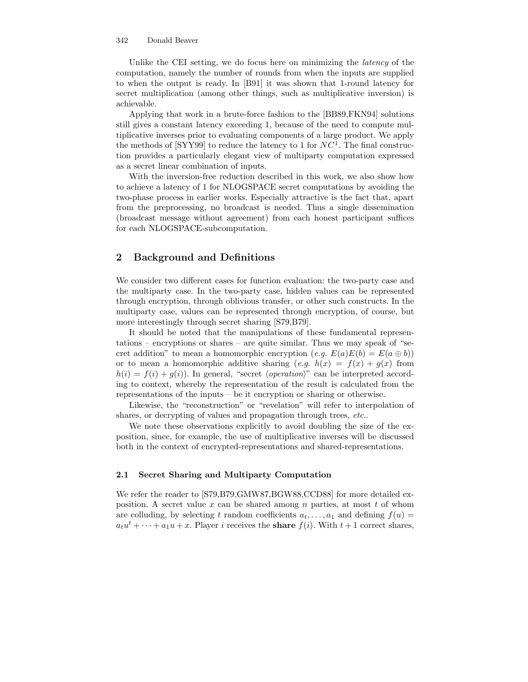Unlike the CEI setting, we do focus here on minimizing the *latency* of the computation, namely the number of rounds from when the inputs are supplied to when the output is ready. In [B91] it was shown that 1-round latency for secret multiplication (among other things, such as multiplicative inversion) is achievable.

Applying that work in a brute-force fashion to the [BB89,FKN94] solutions still gives a constant latency exceeding 1, because of the need to compute multiplicative inverses prior to evaluating components of a large product. We apply the methods of [SYY99] to reduce the latency to 1 for  $NC<sup>1</sup>$ . The final construction provides a particularly elegant view of multiparty computation expressed as a secret linear combination of inputs.

With the inversion-free reduction described in this work, we also show how to achieve a latency of 1 for NLOGSPACE secret computations by avoiding the two-phase process in earlier works. Especially attractive is the fact that, apart from the preprocessing, no broadcast is needed. Thus a single dissemination (broadcast message without agreement) from each honest participant suffices for each NLOGSPACE-subcomputation.

## 2 Background and Definitions

We consider two different cases for function evaluation: the two-party case and the multiparty case. In the two-party case, hidden values can be represented through encryption, through oblivious transfer, or other such constructs. In the multiparty case, values can be represented through encryption, of course, but more interestingly through secret sharing [S79,B79].

It should be noted that the manipulations of these fundamental representations – encryptions or shares – are quite similar. Thus we may speak of "secret addition" to mean a homomorphic encryption  $(e.g. E(a)E(b) = E(a \oplus b))$ or to mean a homomorphic additive sharing  $(e.g. h(x) = f(x) + q(x)$  from  $h(i) = f(i) + g(i)$ . In general, "secret *(operation*)" can be interpreted according to context, whereby the representation of the result is calculated from the representations of the inputs – be it encryption or sharing or otherwise.

Likewise, the "reconstruction" or "revelation" will refer to interpolation of shares, or decrypting of values and propagation through trees, etc...

We note these observations explicitly to avoid doubling the size of the exposition, since, for example, the use of multiplicative inverses will be discussed both in the context of encrypted-representations and shared-representations.

#### 2.1 Secret Sharing and Multiparty Computation

We refer the reader to [S79,B79,GMW87,BGW88,CCD88] for more detailed exposition. A secret value x can be shared among n parties, at most t of whom are colluding, by selecting t random coefficients  $a_t, \ldots, a_1$  and defining  $f(u) =$  $a_t u^t + \cdots + a_1 u + x$ . Player *i* receives the **share**  $f(i)$ . With  $t + 1$  correct shares,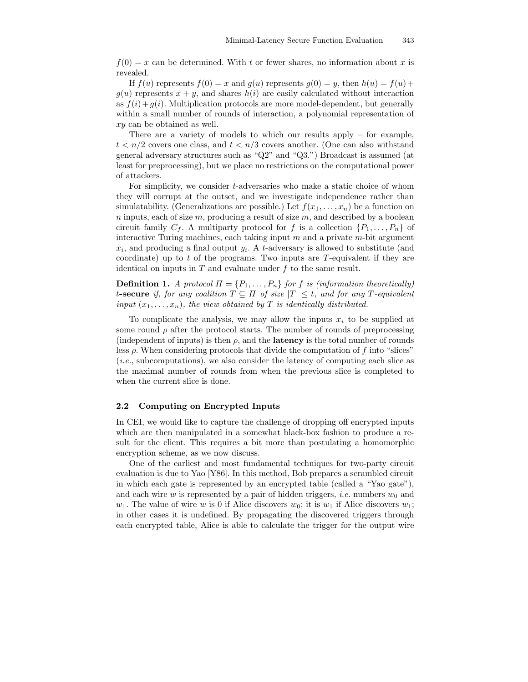$f(0) = x$  can be determined. With t or fewer shares, no information about x is revealed.

If  $f(u)$  represents  $f(0) = x$  and  $g(u)$  represents  $g(0) = y$ , then  $h(u) = f(u) +$  $g(u)$  represents  $x + y$ , and shares  $h(i)$  are easily calculated without interaction as  $f(i)+g(i)$ . Multiplication protocols are more model-dependent, but generally within a small number of rounds of interaction, a polynomial representation of xy can be obtained as well.

There are a variety of models to which our results apply – for example,  $t < n/2$  covers one class, and  $t < n/3$  covers another. (One can also withstand general adversary structures such as "Q2" and "Q3.") Broadcast is assumed (at least for preprocessing), but we place no restrictions on the computational power of attackers.

For simplicity, we consider t-adversaries who make a static choice of whom they will corrupt at the outset, and we investigate independence rather than simulatability. (Generalizations are possible.) Let  $f(x_1, \ldots, x_n)$  be a function on  $n$  inputs, each of size  $m$ , producing a result of size  $m$ , and described by a boolean circuit family  $C_f$ . A multiparty protocol for f is a collection  $\{P_1, \ldots, P_n\}$  of interactive Turing machines, each taking input  $m$  and a private  $m$ -bit argument  $x_i$ , and producing a final output  $y_i$ . A t-adversary is allowed to substitute (and coordinate) up to t of the programs. Two inputs are  $T$ -equivalent if they are identical on inputs in  $T$  and evaluate under  $f$  to the same result.

**Definition 1.** A protocol  $\Pi = \{P_1, \ldots, P_n\}$  for f is (information theoretically) t-secure if, for any coalition  $T \subseteq \Pi$  of size  $|T| \leq t$ , and for any T-equivalent input  $(x_1, \ldots, x_n)$ , the view obtained by T is identically distributed.

To complicate the analysis, we may allow the inputs  $x_i$  to be supplied at some round  $\rho$  after the protocol starts. The number of rounds of preprocessing (independent of inputs) is then  $\rho$ , and the **latency** is the total number of rounds less  $\rho$ . When considering protocols that divide the computation of f into "slices" (i.e., subcomputations), we also consider the latency of computing each slice as the maximal number of rounds from when the previous slice is completed to when the current slice is done.

### 2.2 Computing on Encrypted Inputs

In CEI, we would like to capture the challenge of dropping off encrypted inputs which are then manipulated in a somewhat black-box fashion to produce a result for the client. This requires a bit more than postulating a homomorphic encryption scheme, as we now discuss.

One of the earliest and most fundamental techniques for two-party circuit evaluation is due to Yao [Y86]. In this method, Bob prepares a scrambled circuit in which each gate is represented by an encrypted table (called a "Yao gate"), and each wire w is represented by a pair of hidden triggers, *i.e.* numbers  $w_0$  and  $w_1$ . The value of wire w is 0 if Alice discovers  $w_0$ ; it is  $w_1$  if Alice discovers  $w_1$ ; in other cases it is undefined. By propagating the discovered triggers through each encrypted table, Alice is able to calculate the trigger for the output wire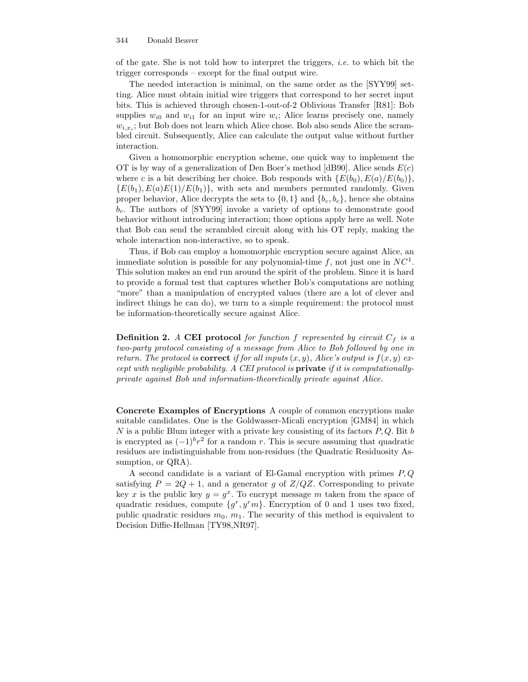of the gate. She is not told how to interpret the triggers, *i.e.* to which bit the trigger corresponds – except for the final output wire.

The needed interaction is minimal, on the same order as the [SYY99] setting. Alice must obtain initial wire triggers that correspond to her secret input bits. This is achieved through chosen-1-out-of-2 Oblivious Transfer [R81]: Bob supplies  $w_{i0}$  and  $w_{i1}$  for an input wire  $w_i$ ; Alice learns precisely one, namely  $w_{i,x_i}$ ; but Bob does not learn which Alice chose. Bob also sends Alice the scrambled circuit. Subsequently, Alice can calculate the output value without further interaction.

Given a homomorphic encryption scheme, one quick way to implement the OT is by way of a generalization of Den Boer's method [dB90]. Alice sends  $E(c)$ where c is a bit describing her choice. Bob responds with  $\{E(b_0), E(a)/E(b_0)\}\,$ ,  ${E(b_1), E(a)E(1)/E(b_1)}$ , with sets and members permuted randomly. Given proper behavior, Alice decrypts the sets to  $\{0,1\}$  and  $\{b_c, b_c\}$ , hence she obtains  $b_c$ . The authors of [SYY99] invoke a variety of options to demonstrate good behavior without introducing interaction; those options apply here as well. Note that Bob can send the scrambled circuit along with his OT reply, making the whole interaction non-interactive, so to speak.

Thus, if Bob can employ a homomorphic encryption secure against Alice, an immediate solution is possible for any polynomial-time f, not just one in  $NC<sup>1</sup>$ . This solution makes an end run around the spirit of the problem. Since it is hard to provide a formal test that captures whether Bob's computations are nothing "more" than a manipulation of encrypted values (there are a lot of clever and indirect things he can do), we turn to a simple requirement: the protocol must be information-theoretically secure against Alice.

**Definition 2.** A CEI protocol for function f represented by circuit  $C_f$  is a two-party protocol consisting of a message from Alice to Bob followed by one in return. The protocol is **correct** if for all inputs  $(x, y)$ , Alice's output is  $f(x, y)$  except with negligible probability. A CEI protocol is private if it is computationallyprivate against Bob and information-theoretically private against Alice.

Concrete Examples of Encryptions A couple of common encryptions make suitable candidates. One is the Goldwasser-Micali encryption [GM84] in which  $N$  is a public Blum integer with a private key consisting of its factors  $P, Q$ . Bit  $b$ is encrypted as  $(-1)^b r^2$  for a random r. This is secure assuming that quadratic residues are indistinguishable from non-residues (the Quadratic Residuosity Assumption, or  $QRA$ ).

A second candidate is a variant of El-Gamal encryption with primes  $P, Q$ satisfying  $P = 2Q + 1$ , and a generator g of  $Z/QZ$ . Corresponding to private key x is the public key  $y = g^x$ . To encrypt message m taken from the space of quadratic residues, compute  $\{g^r, y^r m\}$ . Encryption of 0 and 1 uses two fixed, public quadratic residues  $m_0, m_1$ . The security of this method is equivalent to Decision Diffie-Hellman [TY98,NR97].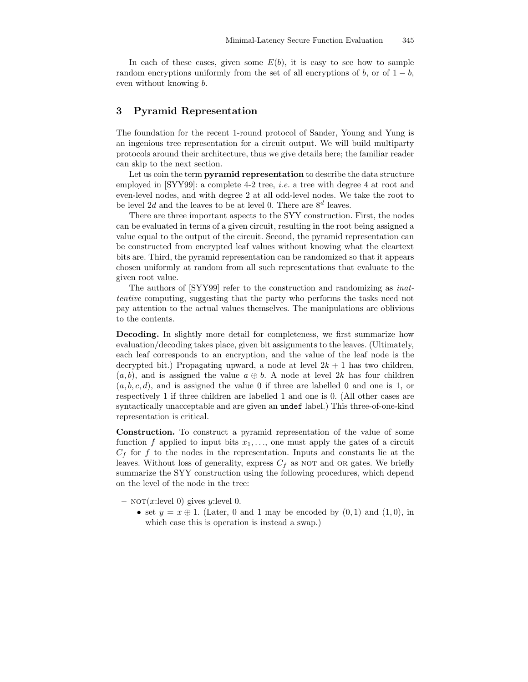In each of these cases, given some  $E(b)$ , it is easy to see how to sample random encryptions uniformly from the set of all encryptions of b, or of  $1 - b$ , even without knowing b.

### 3 Pyramid Representation

The foundation for the recent 1-round protocol of Sander, Young and Yung is an ingenious tree representation for a circuit output. We will build multiparty protocols around their architecture, thus we give details here; the familiar reader can skip to the next section.

Let us coin the term **pyramid representation** to describe the data structure employed in [SYY99]: a complete 4-2 tree, *i.e.* a tree with degree 4 at root and even-level nodes, and with degree 2 at all odd-level nodes. We take the root to be level 2d and the leaves to be at level 0. There are  $8<sup>d</sup>$  leaves.

There are three important aspects to the SYY construction. First, the nodes can be evaluated in terms of a given circuit, resulting in the root being assigned a value equal to the output of the circuit. Second, the pyramid representation can be constructed from encrypted leaf values without knowing what the cleartext bits are. Third, the pyramid representation can be randomized so that it appears chosen uniformly at random from all such representations that evaluate to the given root value.

The authors of [SYY99] refer to the construction and randomizing as inattentive computing, suggesting that the party who performs the tasks need not pay attention to the actual values themselves. The manipulations are oblivious to the contents.

Decoding. In slightly more detail for completeness, we first summarize how evaluation/decoding takes place, given bit assignments to the leaves. (Ultimately, each leaf corresponds to an encryption, and the value of the leaf node is the decrypted bit.) Propagating upward, a node at level  $2k + 1$  has two children,  $(a, b)$ , and is assigned the value  $a \oplus b$ . A node at level 2k has four children  $(a, b, c, d)$ , and is assigned the value 0 if three are labelled 0 and one is 1, or respectively 1 if three children are labelled 1 and one is 0. (All other cases are syntactically unacceptable and are given an undef label.) This three-of-one-kind representation is critical.

Construction. To construct a pyramid representation of the value of some function f applied to input bits  $x_1, \ldots$ , one must apply the gates of a circuit  $C_f$  for f to the nodes in the representation. Inputs and constants lie at the leaves. Without loss of generality, express  $C_f$  as not and or gates. We briefly summarize the SYY construction using the following procedures, which depend on the level of the node in the tree:

- $-$  NOT $(x:\text{level } 0)$  gives y: level 0.
	- set  $y = x \oplus 1$ . (Later, 0 and 1 may be encoded by  $(0, 1)$  and  $(1, 0)$ , in which case this is operation is instead a swap.)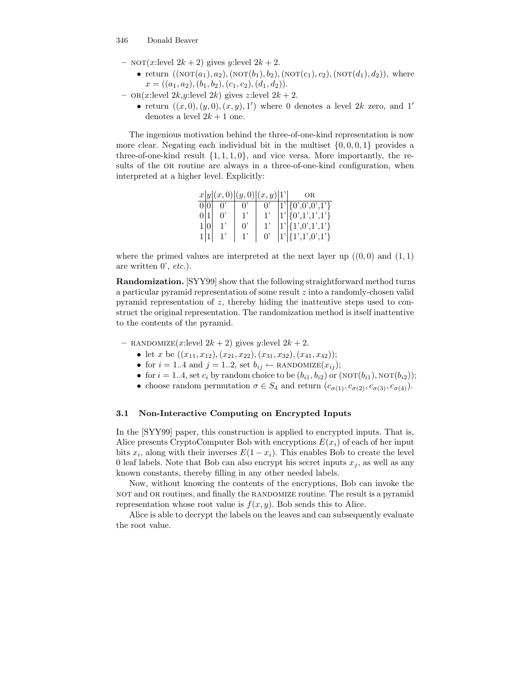- NOT(x:level  $2k + 2$ ) gives y:level  $2k + 2$ .
	- return  $((\text{NOT}(a_1), a_2), (\text{NOT}(b_1), b_2), (\text{NOT}(c_1), c_2), (\text{NOT}(d_1), d_2)),$  where  $x = ((a_1, a_2), (b_1, b_2), (c_1, c_2), (d_1, d_2)).$
- or $(x:\text{level } 2k, y:\text{level } 2k)$  gives z: level  $2k + 2$ .
	- return  $((x,0),(y,0),(x,y),1')$  where 0 denotes a level 2k zero, and 1' denotes a level  $2k + 1$  one.

The ingenious motivation behind the three-of-one-kind representation is now more clear. Negating each individual bit in the multiset  $\{0, 0, 0, 1\}$  provides a three-of-one-kind result  $\{1, 1, 1, 0\}$ , and vice versa. More importantly, the results of the OR routine are always in a three-of-one-kind configuration, when interpreted at a higher level. Explicitly:

|     |  |             | x y (x,0) (y,0) (x,y) 1' | ΟR                          |
|-----|--|-------------|--------------------------|-----------------------------|
|     |  | $0^{\circ}$ | $0^{\circ}$              | $\boxed{1'\{0',0',0',1'\}}$ |
|     |  |             |                          | $ 1'\ {0',1',1',1'}\}$      |
|     |  | υ,          |                          | $1'\{1',0',1',1'\}$         |
| 1 1 |  |             | $0^{\circ}$              | $ 1'\ {1',1',0',1'}\}$      |

where the primed values are interpreted at the next layer up  $((0,0)$  and  $(1,1)$ are written 0', etc.).

Randomization. [SYY99] show that the following straightforward method turns a particular pyramid representation of some result z into a randomly-chosen valid pyramid representation of z, thereby hiding the inattentive steps used to construct the original representation. The randomization method is itself inattentive to the contents of the pyramid.

- RANDOMIZE $(x:\text{level } 2k + 2)$  gives y:level  $2k + 2$ .

- let x be  $((x_{11}, x_{12}), (x_{21}, x_{22}), (x_{31}, x_{32}), (x_{41}, x_{42}))$ ;
- for  $i = 1..4$  and  $j = 1..2$ , set  $b_{ij} \leftarrow \text{RANDOMIZE}(x_{ij});$
- for  $i = 1..4$ , set  $c_i$  by random choice to be  $(b_{i1}, b_{i2})$  or  $(NOT(b_{i1}), NOT(b_{i2}))$ ;
- choose random permutation  $\sigma \in S_4$  and return  $(c_{\sigma(1)}, c_{\sigma(2)}, c_{\sigma(3)}, c_{\sigma(4)})$ .

### 3.1 Non-Interactive Computing on Encrypted Inputs

In the [SYY99] paper, this construction is applied to encrypted inputs. That is, Alice presents CryptoComputer Bob with encryptions  $E(x_i)$  of each of her input bits  $x_i$ , along with their inverses  $E(1-x_i)$ . This enables Bob to create the level 0 leaf labels. Note that Bob can also encrypt his secret inputs  $x_j$ , as well as any known constants, thereby filling in any other needed labels.

Now, without knowing the contents of the encryptions, Bob can invoke the not and or routines, and finally the randomize routine. The result is a pyramid representation whose root value is  $f(x, y)$ . Bob sends this to Alice.

Alice is able to decrypt the labels on the leaves and can subsequently evaluate the root value.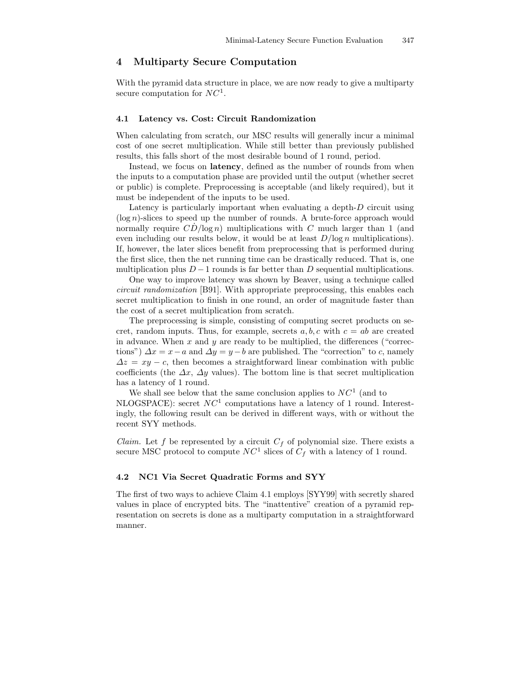## 4 Multiparty Secure Computation

With the pyramid data structure in place, we are now ready to give a multiparty secure computation for  $NC<sup>1</sup>$ .

### 4.1 Latency vs. Cost: Circuit Randomization

When calculating from scratch, our MSC results will generally incur a minimal cost of one secret multiplication. While still better than previously published results, this falls short of the most desirable bound of 1 round, period.

Instead, we focus on latency, defined as the number of rounds from when the inputs to a computation phase are provided until the output (whether secret or public) is complete. Preprocessing is acceptable (and likely required), but it must be independent of the inputs to be used.

Latency is particularly important when evaluating a depth-D circuit using  $(\log n)$ -slices to speed up the number of rounds. A brute-force approach would normally require  $CD/\log n$ ) multiplications with C much larger than 1 (and even including our results below, it would be at least  $D/\log n$  multiplications). If, however, the later slices benefit from preprocessing that is performed during the first slice, then the net running time can be drastically reduced. That is, one multiplication plus  $D-1$  rounds is far better than D sequential multiplications.

One way to improve latency was shown by Beaver, using a technique called circuit randomization [B91]. With appropriate preprocessing, this enables each secret multiplication to finish in one round, an order of magnitude faster than the cost of a secret multiplication from scratch.

The preprocessing is simple, consisting of computing secret products on secret, random inputs. Thus, for example, secrets  $a, b, c$  with  $c = ab$  are created in advance. When  $x$  and  $y$  are ready to be multiplied, the differences ("corrections")  $\Delta x = x - a$  and  $\Delta y = y - b$  are published. The "correction" to c, namely  $\Delta z = xy - c$ , then becomes a straightforward linear combination with public coefficients (the  $\Delta x$ ,  $\Delta y$  values). The bottom line is that secret multiplication has a latency of 1 round.

We shall see below that the same conclusion applies to  $NC<sup>1</sup>$  (and to NLOGSPACE): secret  $NC<sup>1</sup>$  computations have a latency of 1 round. Interestingly, the following result can be derived in different ways, with or without the recent SYY methods.

*Claim.* Let f be represented by a circuit  $C_f$  of polynomial size. There exists a secure MSC protocol to compute  $NC<sup>1</sup>$  slices of  $C_f$  with a latency of 1 round.

### 4.2 NC1 Via Secret Quadratic Forms and SYY

The first of two ways to achieve Claim 4.1 employs [SYY99] with secretly shared values in place of encrypted bits. The "inattentive" creation of a pyramid representation on secrets is done as a multiparty computation in a straightforward manner.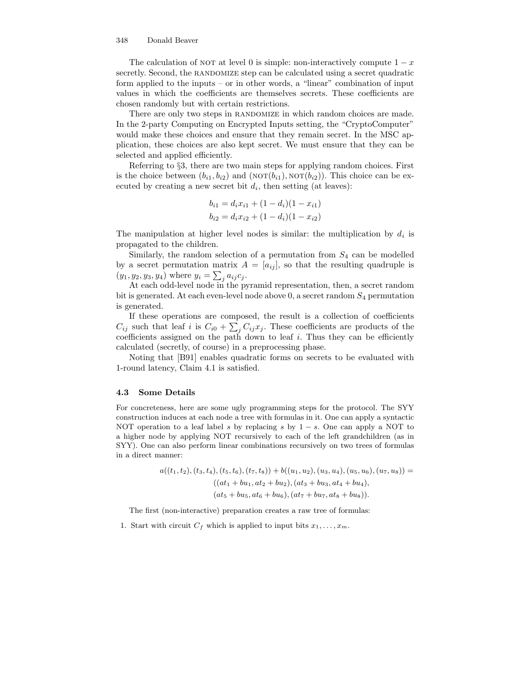The calculation of NOT at level 0 is simple: non-interactively compute  $1 - x$ secretly. Second, the RANDOMIZE step can be calculated using a secret quadratic form applied to the inputs – or in other words, a "linear" combination of input values in which the coefficients are themselves secrets. These coefficients are chosen randomly but with certain restrictions.

There are only two steps in RANDOMIZE in which random choices are made. In the 2-party Computing on Encrypted Inputs setting, the "CryptoComputer" would make these choices and ensure that they remain secret. In the MSC application, these choices are also kept secret. We must ensure that they can be selected and applied efficiently.

Referring to §3, there are two main steps for applying random choices. First is the choice between  $(b_{i1}, b_{i2})$  and  $(NOT(b_{i1}), NOT(b_{i2}))$ . This choice can be executed by creating a new secret bit  $d_i$ , then setting (at leaves):

$$
b_{i1} = d_i x_{i1} + (1 - d_i)(1 - x_{i1})
$$
  

$$
b_{i2} = d_i x_{i2} + (1 - d_i)(1 - x_{i2})
$$

The manipulation at higher level nodes is similar: the multiplication by  $d_i$  is propagated to the children.

Similarly, the random selection of a permutation from  $S_4$  can be modelled by a secret permutation matrix  $A = [a_{ij}]$ , so that the resulting quadruple is  $(y_1, y_2, y_3, y_4)$  where  $y_i = \sum_j a_{ij} c_j$ .

At each odd-level node in the pyramid representation, then, a secret random bit is generated. At each even-level node above  $0$ , a secret random  $S_4$  permutation is generated.

If these operations are composed, the result is a collection of coefficients  $C_{ij}$  such that leaf i is  $C_{i0} + \sum_j C_{ij} x_j$ . These coefficients are products of the coefficients assigned on the path down to leaf  $i$ . Thus they can be efficiently calculated (secretly, of course) in a preprocessing phase.

Noting that [B91] enables quadratic forms on secrets to be evaluated with 1-round latency, Claim 4.1 is satisfied.

#### 4.3 Some Details

For concreteness, here are some ugly programming steps for the protocol. The SYY construction induces at each node a tree with formulas in it. One can apply a syntactic NOT operation to a leaf label s by replacing s by  $1 - s$ . One can apply a NOT to a higher node by applying NOT recursively to each of the left grandchildren (as in SYY). One can also perform linear combinations recursively on two trees of formulas in a direct manner:

$$
a((t_1, t_2), (t_3, t_4), (t_5, t_6), (t_7, t_8)) + b((u_1, u_2), (u_3, u_4), (u_5, u_6), (u_7, u_8)) =
$$
  

$$
((at_1 + bu_1, at_2 + bu_2), (at_3 + bu_3, at_4 + bu_4),
$$
  

$$
(at_5 + bu_5, at_6 + bu_6), (at_7 + bu_7, at_8 + bu_8)).
$$

The first (non-interactive) preparation creates a raw tree of formulas:

1. Start with circuit  $C_f$  which is applied to input bits  $x_1, \ldots, x_m$ .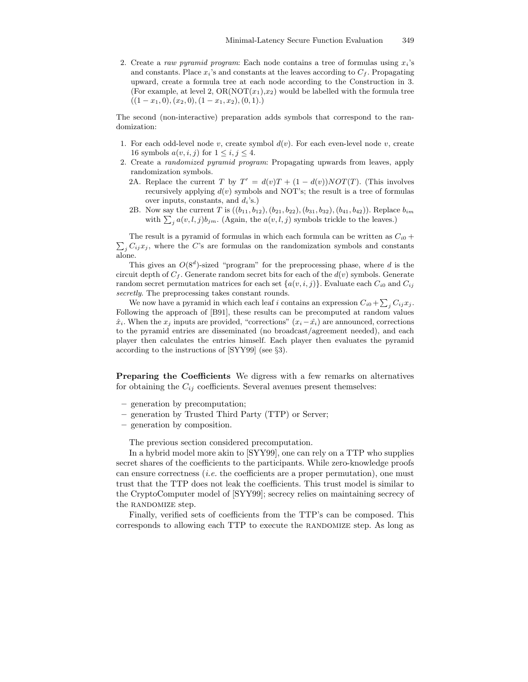2. Create a raw pyramid program: Each node contains a tree of formulas using  $x_i$ 's and constants. Place  $x_i$ 's and constants at the leaves according to  $C_f$ . Propagating upward, create a formula tree at each node according to the Construction in 3. (For example, at level 2,  $OR(NOT(x_1),x_2)$  would be labelled with the formula tree  $((1-x_1,0),(x_2,0),(1-x_1,x_2),(0,1).)$ 

The second (non-interactive) preparation adds symbols that correspond to the randomization:

- 1. For each odd-level node v, create symbol  $d(v)$ . For each even-level node v, create 16 symbols  $a(v, i, j)$  for  $1 \leq i, j \leq 4$ .
- 2. Create a randomized pyramid program: Propagating upwards from leaves, apply randomization symbols.
	- 2A. Replace the current T by  $T' = d(v)T + (1 d(v))NOT(T)$ . (This involves recursively applying  $d(v)$  symbols and NOT's; the result is a tree of formulas over inputs, constants, and  $d_i$ 's.)
	- 2B. Now say the current T is  $((b_{11}, b_{12}), (b_{21}, b_{22}), (b_{31}, b_{32}), (b_{41}, b_{42}))$ . Replace  $b_{im}$ with  $\sum_{j} a(v, l, j)b_{jm}$ . (Again, the  $a(v, l, j)$  symbols trickle to the leaves.)

 $\sum_j C_{ij}x_j$ , where the C's are formulas on the randomization symbols and constants The result is a pyramid of formulas in which each formula can be written as  $C_{i0}$  + alone.

This gives an  $O(8^d)$ -sized "program" for the preprocessing phase, where d is the circuit depth of  $C_f$ . Generate random secret bits for each of the  $d(v)$  symbols. Generate random secret permutation matrices for each set  $\{a(v,i,j)\}\$ . Evaluate each  $C_{i0}$  and  $C_{ij}$ secretly. The preprocessing takes constant rounds.

We now have a pyramid in which each leaf i contains an expression  $C_{i0} + \sum_j C_{ij} x_j$ . Following the approach of [B91], these results can be precomputed at random values  $\hat{x}_i$ . When the  $x_j$  inputs are provided, "corrections"  $(x_i-\hat{x}_i)$  are announced, corrections to the pyramid entries are disseminated (no broadcast/agreement needed), and each player then calculates the entries himself. Each player then evaluates the pyramid according to the instructions of [SYY99] (see §3).

**Preparing the Coefficients** We digress with a few remarks on alternatives for obtaining the  $C_{ij}$  coefficients. Several avenues present themselves:

- generation by precomputation;
- generation by Trusted Third Party (TTP) or Server;
- generation by composition.

The previous section considered precomputation.

In a hybrid model more akin to [SYY99], one can rely on a TTP who supplies secret shares of the coefficients to the participants. While zero-knowledge proofs can ensure correctness (*i.e.* the coefficients are a proper permutation), one must trust that the TTP does not leak the coefficients. This trust model is similar to the CryptoComputer model of [SYY99]; secrecy relies on maintaining secrecy of the RANDOMIZE step.

Finally, verified sets of coefficients from the TTP's can be composed. This corresponds to allowing each TTP to execute the RANDOMIZE step. As long as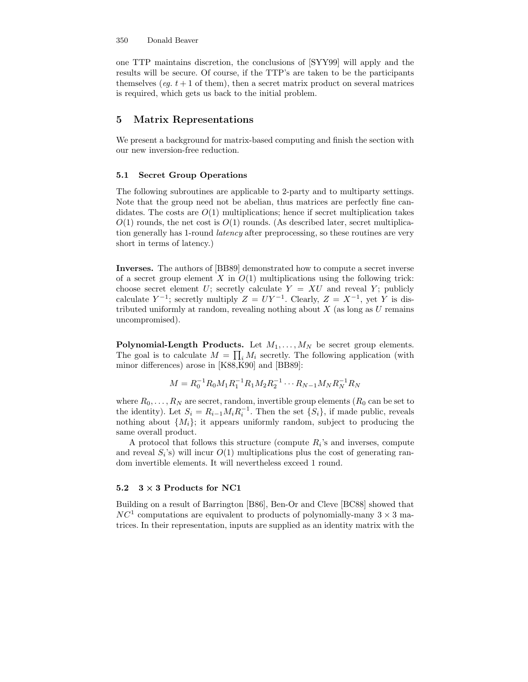one TTP maintains discretion, the conclusions of [SYY99] will apply and the results will be secure. Of course, if the TTP's are taken to be the participants themselves (*eg.*  $t + 1$  of them), then a secret matrix product on several matrices is required, which gets us back to the initial problem.

## 5 Matrix Representations

We present a background for matrix-based computing and finish the section with our new inversion-free reduction.

### 5.1 Secret Group Operations

The following subroutines are applicable to 2-party and to multiparty settings. Note that the group need not be abelian, thus matrices are perfectly fine candidates. The costs are  $O(1)$  multiplications; hence if secret multiplication takes  $O(1)$  rounds, the net cost is  $O(1)$  rounds. (As described later, secret multiplication generally has 1-round latency after preprocessing, so these routines are very short in terms of latency.)

Inverses. The authors of [BB89] demonstrated how to compute a secret inverse of a secret group element X in  $O(1)$  multiplications using the following trick: choose secret element U; secretly calculate  $Y = XU$  and reveal Y; publicly calculate  $Y^{-1}$ ; secretly multiply  $Z = UY^{-1}$ . Clearly,  $Z = X^{-1}$ , yet Y is distributed uniformly at random, revealing nothing about  $X$  (as long as  $U$  remains uncompromised).

**Polynomial-Length Products.** Let  $M_1, \ldots, M_N$  be secret group elements. The goal is to calculate  $M = \prod_i M_i$  secretly. The following application (with minor differences) arose in [K88,K90] and [BB89]:

$$
M = R_0^{-1} R_0 M_1 R_1^{-1} R_1 M_2 R_2^{-1} \cdots R_{N-1} M_N R_N^{-1} R_N
$$

where  $R_0, \ldots, R_N$  are secret, random, invertible group elements  $(R_0 \text{ can be set to})$ the identity). Let  $S_i = R_{i-1} M_i R_i^{-1}$ . Then the set  $\{S_i\}$ , if made public, reveals nothing about  $\{M_i\}$ ; it appears uniformly random, subject to producing the same overall product.

A protocol that follows this structure (compute  $R_i$ 's and inverses, compute and reveal  $S_i$ 's) will incur  $O(1)$  multiplications plus the cost of generating random invertible elements. It will nevertheless exceed 1 round.

### 5.2  $3 \times 3$  Products for NC1

Building on a result of Barrington [B86], Ben-Or and Cleve [BC88] showed that  $NC<sup>1</sup>$  computations are equivalent to products of polynomially-many  $3 \times 3$  matrices. In their representation, inputs are supplied as an identity matrix with the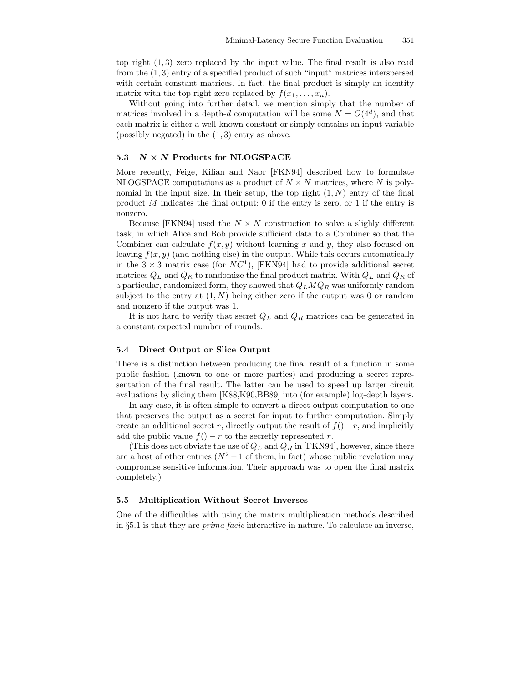top right (1, 3) zero replaced by the input value. The final result is also read from the (1, 3) entry of a specified product of such "input" matrices interspersed with certain constant matrices. In fact, the final product is simply an identity matrix with the top right zero replaced by  $f(x_1, \ldots, x_n)$ .

Without going into further detail, we mention simply that the number of matrices involved in a depth-d computation will be some  $N = O(4^d)$ , and that each matrix is either a well-known constant or simply contains an input variable (possibly negated) in the  $(1, 3)$  entry as above.

### 5.3  $N \times N$  Products for NLOGSPACE

More recently, Feige, Kilian and Naor [FKN94] described how to formulate NLOGSPACE computations as a product of  $N \times N$  matrices, where N is polynomial in the input size. In their setup, the top right  $(1, N)$  entry of the final product M indicates the final output: 0 if the entry is zero, or 1 if the entry is nonzero.

Because [FKN94] used the  $N \times N$  construction to solve a slighly different task, in which Alice and Bob provide sufficient data to a Combiner so that the Combiner can calculate  $f(x, y)$  without learning x and y, they also focused on leaving  $f(x, y)$  (and nothing else) in the output. While this occurs automatically in the  $3 \times 3$  matrix case (for  $NC<sup>1</sup>$ ), [FKN94] had to provide additional secret matrices  $Q_L$  and  $Q_R$  to randomize the final product matrix. With  $Q_L$  and  $Q_R$  of a particular, randomized form, they showed that  $Q_LMQ_R$  was uniformly random subject to the entry at  $(1, N)$  being either zero if the output was 0 or random and nonzero if the output was 1.

It is not hard to verify that secret  $Q_L$  and  $Q_R$  matrices can be generated in a constant expected number of rounds.

### 5.4 Direct Output or Slice Output

There is a distinction between producing the final result of a function in some public fashion (known to one or more parties) and producing a secret representation of the final result. The latter can be used to speed up larger circuit evaluations by slicing them [K88,K90,BB89] into (for example) log-depth layers.

In any case, it is often simple to convert a direct-output computation to one that preserves the output as a secret for input to further computation. Simply create an additional secret r, directly output the result of  $f()-r$ , and implicitly add the public value  $f() - r$  to the secretly represented r.

(This does not obviate the use of  $Q_L$  and  $Q_R$  in [FKN94], however, since there are a host of other entries  $(N^2-1)$  of them, in fact) whose public revelation may compromise sensitive information. Their approach was to open the final matrix completely.)

### 5.5 Multiplication Without Secret Inverses

One of the difficulties with using the matrix multiplication methods described in §5.1 is that they are prima facie interactive in nature. To calculate an inverse,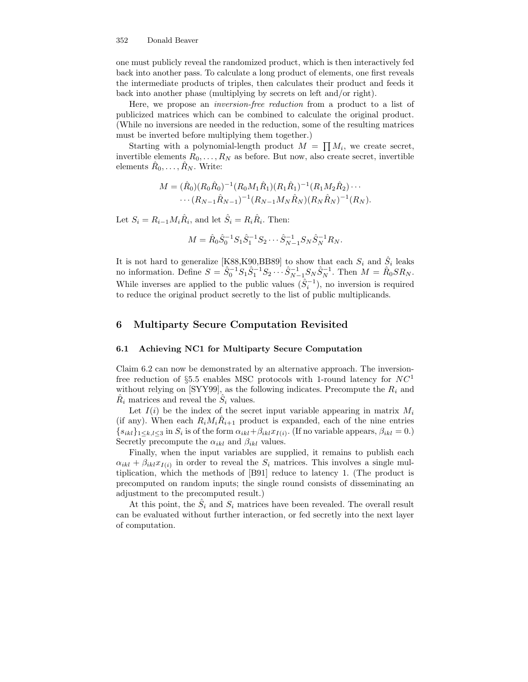one must publicly reveal the randomized product, which is then interactively fed back into another pass. To calculate a long product of elements, one first reveals the intermediate products of triples, then calculates their product and feeds it back into another phase (multiplying by secrets on left and/or right).

Here, we propose an inversion-free reduction from a product to a list of publicized matrices which can be combined to calculate the original product. (While no inversions are needed in the reduction, some of the resulting matrices must be inverted before multiplying them together.)

Starting with a polynomial-length product  $M = \prod M_i$ , we create secret, invertible elements  $R_0, \ldots, R_N$  as before. But now, also create secret, invertible elements  $\hat{R}_0, \ldots, \hat{R}_N$ . Write:

$$
M = (\hat{R}_0)(R_0\hat{R}_0)^{-1}(R_0M_1\hat{R}_1)(R_1\hat{R}_1)^{-1}(R_1M_2\hat{R}_2)\cdots
$$

$$
\cdots (R_{N-1}\hat{R}_{N-1})^{-1}(R_{N-1}M_N\hat{R}_N)(R_N\hat{R}_N)^{-1}(R_N).
$$

Let  $S_i = R_{i-1} M_i \hat{R}_i$ , and let  $\hat{S}_i = R_i \hat{R}_i$ . Then:

$$
M = \hat{R}_0 \hat{S}_0^{-1} S_1 \hat{S}_1^{-1} S_2 \cdots \hat{S}_{N-1}^{-1} S_N \hat{S}_N^{-1} R_N.
$$

It is not hard to generalize [K88,K90,BB89] to show that each  $S_i$  and  $\hat{S}_i$  leaks no information. Define  $S = \hat{S}_0^{-1} S_1 \hat{S}_1^{-1} S_2 \cdots \hat{S}_{N-1}^{-1} S_N \hat{S}_N^{-1}$ . Then  $M = \hat{R}_0 S R_N$ . While inverses are applied to the public values  $(\hat{S}_i^{-1})$ , no inversion is required to reduce the original product secretly to the list of public multiplicands.

## 6 Multiparty Secure Computation Revisited

#### 6.1 Achieving NC1 for Multiparty Secure Computation

Claim 6.2 can now be demonstrated by an alternative approach. The inversionfree reduction of  $\S 5.5$  enables MSC protocols with 1-round latency for  $NC<sup>1</sup>$ without relying on [SYY99], as the following indicates. Precompute the  $R_i$  and  $\hat{R}_i$  matrices and reveal the  $\hat{S}_i$  values.

Let  $I(i)$  be the index of the secret input variable appearing in matrix  $M_i$ (if any). When each  $R_i M_i \hat{R}_{i+1}$  product is expanded, each of the nine entries  $\{s_{ikl}\}_{1\leq k,l\leq 3}$  in  $S_i$  is of the form  $\alpha_{ikl}+\beta_{ikl}x_{I(i)}$ . (If no variable appears,  $\beta_{ikl}=0$ .) Secretly precompute the  $\alpha_{ikl}$  and  $\beta_{ikl}$  values.

Finally, when the input variables are supplied, it remains to publish each  $\alpha_{ikl} + \beta_{ikl}x_{I(i)}$  in order to reveal the  $S_i$  matrices. This involves a single multiplication, which the methods of [B91] reduce to latency 1. (The product is precomputed on random inputs; the single round consists of disseminating an adjustment to the precomputed result.)

At this point, the  $\hat{S}_i$  and  $S_i$  matrices have been revealed. The overall result can be evaluated without further interaction, or fed secretly into the next layer of computation.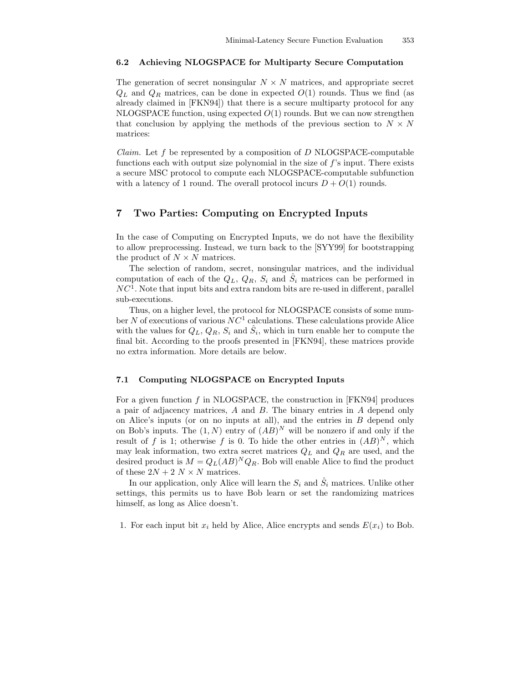#### 6.2 Achieving NLOGSPACE for Multiparty Secure Computation

The generation of secret nonsingular  $N \times N$  matrices, and appropriate secret  $Q_L$  and  $Q_R$  matrices, can be done in expected  $O(1)$  rounds. Thus we find (as already claimed in [FKN94]) that there is a secure multiparty protocol for any NLOGSPACE function, using expected  $O(1)$  rounds. But we can now strengthen that conclusion by applying the methods of the previous section to  $N \times N$ matrices:

*Claim.* Let f be represented by a composition of  $D$  NLOGSPACE-computable functions each with output size polynomial in the size of  $f$ 's input. There exists a secure MSC protocol to compute each NLOGSPACE-computable subfunction with a latency of 1 round. The overall protocol incurs  $D + O(1)$  rounds.

## 7 Two Parties: Computing on Encrypted Inputs

In the case of Computing on Encrypted Inputs, we do not have the flexibility to allow preprocessing. Instead, we turn back to the [SYY99] for bootstrapping the product of  $N \times N$  matrices.

The selection of random, secret, nonsingular matrices, and the individual computation of each of the  $Q_L, Q_R, S_i$  and  $\hat{S}_i$  matrices can be performed in  $NC<sup>1</sup>$ . Note that input bits and extra random bits are re-used in different, parallel sub-executions.

Thus, on a higher level, the protocol for NLOGSPACE consists of some number N of executions of various  $NC<sup>1</sup>$  calculations. These calculations provide Alice with the values for  $Q_L, Q_R, S_i$  and  $\hat{S}_i$ , which in turn enable her to compute the final bit. According to the proofs presented in [FKN94], these matrices provide no extra information. More details are below.

#### 7.1 Computing NLOGSPACE on Encrypted Inputs

For a given function f in NLOGSPACE, the construction in  $[FKN94]$  produces a pair of adjacency matrices, A and B. The binary entries in A depend only on Alice's inputs (or on no inputs at all), and the entries in  $B$  depend only on Bob's inputs. The  $(1, N)$  entry of  $(AB)^N$  will be nonzero if and only if the result of f is 1; otherwise f is 0. To hide the other entries in  $(AB)^N$ , which may leak information, two extra secret matrices  $Q_L$  and  $Q_R$  are used, and the desired product is  $M = Q_L(AB)^N Q_R$ . Bob will enable Alice to find the product of these  $2N + 2N \times N$  matrices.

In our application, only Alice will learn the  $S_i$  and  $\hat{S}_i$  matrices. Unlike other settings, this permits us to have Bob learn or set the randomizing matrices himself, as long as Alice doesn't.

1. For each input bit  $x_i$  held by Alice, Alice encrypts and sends  $E(x_i)$  to Bob.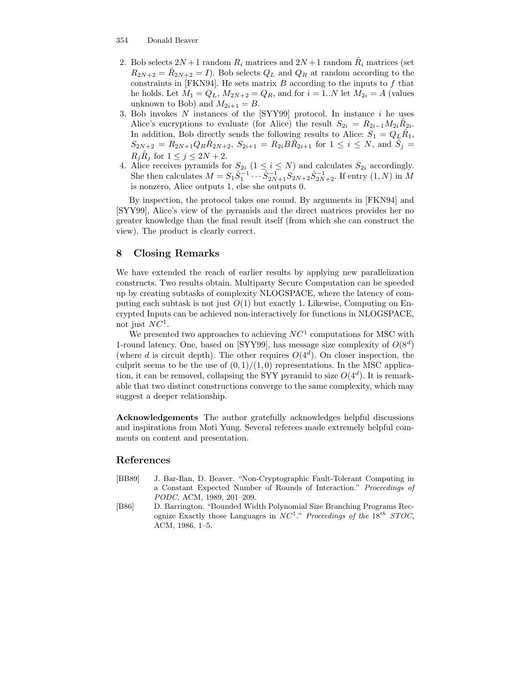- 2. Bob selects  $2N+1$  random  $R_i$  matrices and  $2N+1$  random  $\hat{R}_i$  matrices (set  $R_{2N+2} = \hat{R}_{2N+2} = I$ . Bob selects  $Q_L$  and  $Q_R$  at random according to the constraints in [FKN94]. He sets matrix  $B$  according to the inputs to  $f$  that he holds. Let  $M_1 = Q_L$ ,  $M_{2N+2} = Q_R$ , and for  $i = 1..N$  let  $M_{2i} = A$  (values unknown to Bob) and  $M_{2i+1} = B$ .
- 3. Bob invokes  $N$  instances of the  $[SYY99]$  protocol. In instance  $i$  he uses Alice's encryptions to evaluate (for Alice) the result  $S_{2i} = R_{2i-1} M_{2i} \hat{R}_{2i}$ . In addition, Bob directly sends the following results to Alice:  $S_1 = Q_L \hat{R}_1$ ,  $S_{2N+2} = R_{2N+1} Q_R \hat{R}_{2N+2}, S_{2i+1} = R_{2i} B \hat{R}_{2i+1}$  for  $1 \le i \le N$ , and  $\hat{S}_j =$  $R_j \hat{R}_j$  for  $1 \leq j \leq 2N+2$ .
- 4. Alice receives pyramids for  $S_{2i}$   $(1 \leq i \leq N)$  and calculates  $S_{2i}$  accordingly. She then calculates  $M = S_1 \hat{S}_1^{-1} \cdots \hat{S}_{2N+1}^{-1} S_{2N+2} \hat{S}_{2N+2}^{-1}$ . If entry  $(1, N)$  in M is nonzero, Alice outputs 1, else she outputs 0.

By inspection, the protocol takes one round. By arguments in [FKN94] and [SYY99], Alice's view of the pyramids and the direct matrices provides her no greater knowledge than the final result itself (from which she can construct the view). The product is clearly correct.

## 8 Closing Remarks

We have extended the reach of earlier results by applying new parallelization constructs. Two results obtain. Multiparty Secure Computation can be speeded up by creating subtasks of complexity NLOGSPACE, where the latency of computing each subtask is not just  $O(1)$  but exactly 1. Likewise, Computing on Encrypted Inputs can be achieved non-interactively for functions in NLOGSPACE, not just  $NC^1$ .

We presented two approaches to achieving  $NC<sup>1</sup>$  computations for MSC with 1-round latency. One, based on [SYY99], has message size complexity of  $O(8<sup>d</sup>)$ (where d is circuit depth). The other requires  $O(4^d)$ . On closer inspection, the culprit seems to be the use of  $(0, 1)/(1, 0)$  representations. In the MSC application, it can be removed, collapsing the SYY pyramid to size  $O(4^d)$ . It is remarkable that two distinct constructions converge to the same complexity, which may suggest a deeper relationship.

Acknowledgements The author gratefully acknowledges helpful discussions and inspirations from Moti Yung. Several referees made extremely helpful comments on content and presentation.

### References

- [BB89] J. Bar-Ilan, D. Beaver. "Non-Cryptographic Fault-Tolerant Computing in a Constant Expected Number of Rounds of Interaction." Proceedings of PODC, ACM, 1989, 201–209.
- [B86] D. Barrington. "Bounded Width Polynomial Size Branching Programs Recognize Exactly those Languages in  $NC^1$ ." Proceedings of the  $18^{th}$  STOC, ACM, 1986, 1–5.